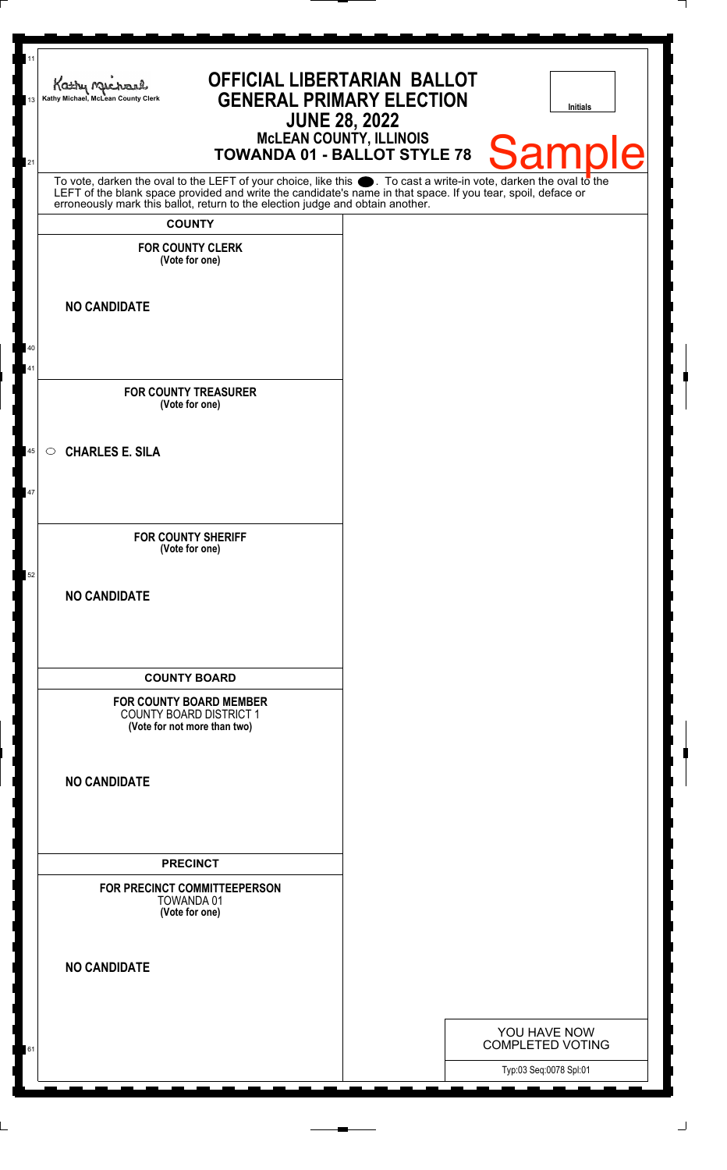| 11<br>13 | <b>OFFICIAL LIBERTARIAN BALLOT</b><br>Kathy Much<br><b>GENERAL PRIMARY ELECTION</b><br>Kathy Michael, McLean County Clerk<br><b>JUNE 28, 2022</b>                                                                                              | Initials                                |
|----------|------------------------------------------------------------------------------------------------------------------------------------------------------------------------------------------------------------------------------------------------|-----------------------------------------|
| 21       | <b>MCLEAN COUNTY, ILLINOIS</b><br><b>TOWANDA 01 - BALLOT STYLE 78</b>                                                                                                                                                                          | <b>Sample</b>                           |
|          | To vote, darken the oval to the LEFT of your choice, like this . To cast a write-in vote, darken the oval to the LEFT of the blank space provided and write the candidate's name in that space. If you tear, spoil, deface or<br><b>COUNTY</b> |                                         |
|          | <b>FOR COUNTY CLERK</b><br>(Vote for one)                                                                                                                                                                                                      |                                         |
|          | <b>NO CANDIDATE</b>                                                                                                                                                                                                                            |                                         |
| 40<br>41 |                                                                                                                                                                                                                                                |                                         |
|          | <b>FOR COUNTY TREASURER</b><br>(Vote for one)                                                                                                                                                                                                  |                                         |
| 45       | <b>CHARLES E. SILA</b><br>$\circ$                                                                                                                                                                                                              |                                         |
| 47       |                                                                                                                                                                                                                                                |                                         |
| 52       | <b>FOR COUNTY SHERIFF</b><br>(Vote for one)                                                                                                                                                                                                    |                                         |
|          | <b>NO CANDIDATE</b>                                                                                                                                                                                                                            |                                         |
|          | <b>COUNTY BOARD</b>                                                                                                                                                                                                                            |                                         |
|          | FOR COUNTY BOARD MEMBER<br><b>COUNTY BOARD DISTRICT 1</b><br>(Vote for not more than two)                                                                                                                                                      |                                         |
|          | <b>NO CANDIDATE</b>                                                                                                                                                                                                                            |                                         |
|          | <b>PRECINCT</b>                                                                                                                                                                                                                                |                                         |
|          | FOR PRECINCT COMMITTEEPERSON<br>TOWANDA 01<br>(Vote for one)                                                                                                                                                                                   |                                         |
|          | <b>NO CANDIDATE</b>                                                                                                                                                                                                                            |                                         |
| 61       |                                                                                                                                                                                                                                                | YOU HAVE NOW<br><b>COMPLETED VOTING</b> |
|          |                                                                                                                                                                                                                                                | Typ:03 Seq:0078 Spl:01                  |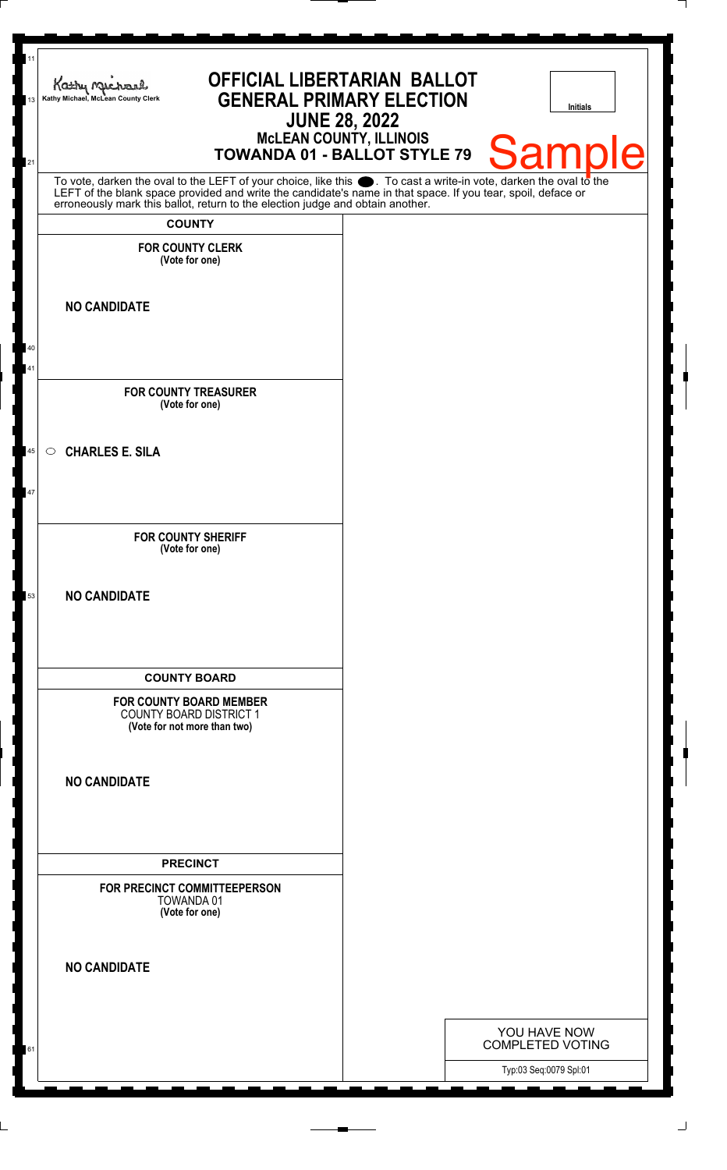| 11<br>Kathy Michael<br>Kathy Michael, McLean County Clerk<br>13                                                                                                                                                               | <b>OFFICIAL LIBERTARIAN BALLOT</b><br><b>GENERAL PRIMARY ELECTION</b> | <b>JUNE 28, 2022</b>           |                                                   | <b>Initials</b> |
|-------------------------------------------------------------------------------------------------------------------------------------------------------------------------------------------------------------------------------|-----------------------------------------------------------------------|--------------------------------|---------------------------------------------------|-----------------|
| 21                                                                                                                                                                                                                            | TOWANDA 01 - BALLOT STYLE 79                                          | <b>McLEAN COUNTY, ILLINOIS</b> |                                                   | <b>Sample</b>   |
| To vote, darken the oval to the LEFT of your choice, like this . To cast a write-in vote, darken the oval to the LEFT of the blank space provided and write the candidate's name in that space. If you tear, spoil, deface or |                                                                       |                                |                                                   |                 |
| <b>COUNTY</b>                                                                                                                                                                                                                 |                                                                       |                                |                                                   |                 |
| <b>FOR COUNTY CLERK</b><br>(Vote for one)                                                                                                                                                                                     |                                                                       |                                |                                                   |                 |
| <b>NO CANDIDATE</b>                                                                                                                                                                                                           |                                                                       |                                |                                                   |                 |
| 40<br>41                                                                                                                                                                                                                      |                                                                       |                                |                                                   |                 |
| <b>FOR COUNTY TREASURER</b><br>(Vote for one)                                                                                                                                                                                 |                                                                       |                                |                                                   |                 |
| <b>CHARLES E. SILA</b><br>45<br>$\circ$                                                                                                                                                                                       |                                                                       |                                |                                                   |                 |
| 47                                                                                                                                                                                                                            |                                                                       |                                |                                                   |                 |
| <b>FOR COUNTY SHERIFF</b><br>(Vote for one)                                                                                                                                                                                   |                                                                       |                                |                                                   |                 |
| <b>NO CANDIDATE</b><br>53                                                                                                                                                                                                     |                                                                       |                                |                                                   |                 |
| <b>COUNTY BOARD</b>                                                                                                                                                                                                           |                                                                       |                                |                                                   |                 |
| <b>FOR COUNTY BOARD MEMBER</b><br><b>COUNTY BOARD DISTRICT 1</b><br>(Vote for not more than two)                                                                                                                              |                                                                       |                                |                                                   |                 |
| <b>NO CANDIDATE</b>                                                                                                                                                                                                           |                                                                       |                                |                                                   |                 |
| <b>PRECINCT</b>                                                                                                                                                                                                               |                                                                       |                                |                                                   |                 |
| FOR PRECINCT COMMITTEEPERSON<br>TOWANDA 01<br>(Vote for one)                                                                                                                                                                  |                                                                       |                                |                                                   |                 |
| <b>NO CANDIDATE</b>                                                                                                                                                                                                           |                                                                       |                                |                                                   |                 |
|                                                                                                                                                                                                                               |                                                                       |                                | YOU HAVE NOW                                      |                 |
| 61                                                                                                                                                                                                                            |                                                                       |                                | <b>COMPLETED VOTING</b><br>Typ:03 Seq:0079 Spl:01 |                 |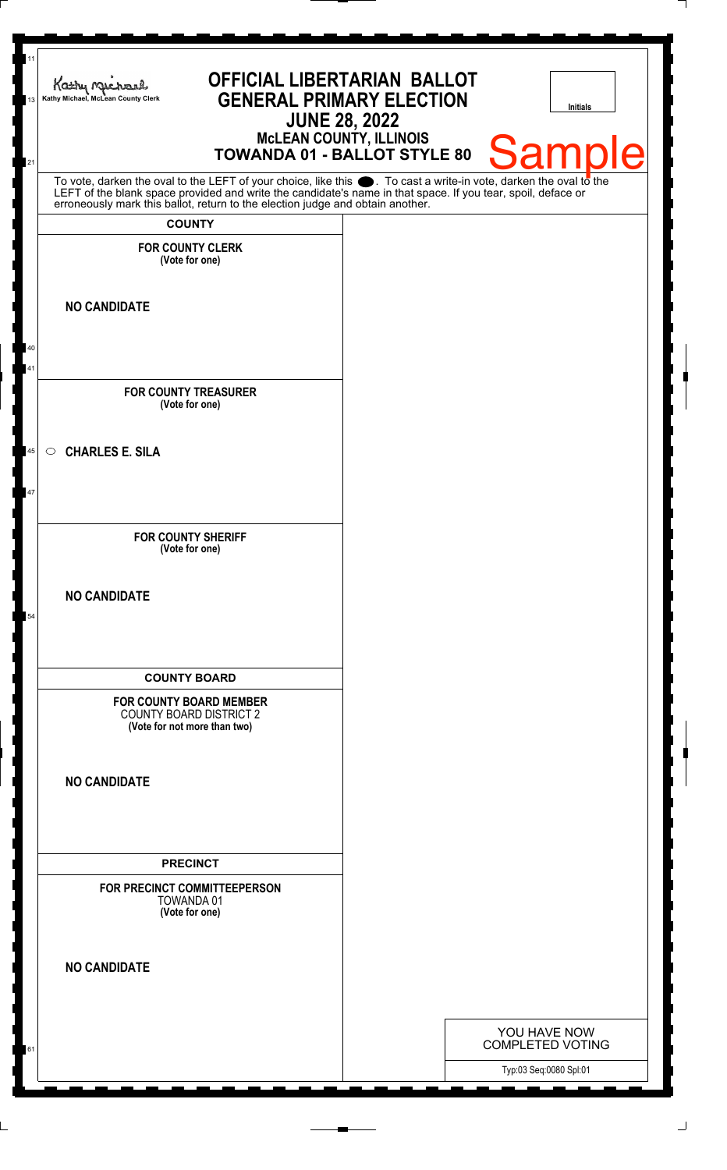| 11<br>13 | <b>OFFICIAL LIBERTARIAN BALLOT</b><br>Kathy Michael<br><b>GENERAL PRIMARY ELECTION</b><br>Kathy Michael, McLean County Clerk<br><b>JUNE 28, 2022</b>                                                                                                                                                                   |  | <b>Initials</b>                         |  |  |  |
|----------|------------------------------------------------------------------------------------------------------------------------------------------------------------------------------------------------------------------------------------------------------------------------------------------------------------------------|--|-----------------------------------------|--|--|--|
| 21       | <b>McLEAN COUNTY, ILLINOIS</b><br>TOWANDA 01 - BALLOT STYLE 80                                                                                                                                                                                                                                                         |  | <b>Sample</b>                           |  |  |  |
|          | To vote, darken the oval to the LEFT of your choice, like this $\bullet$ . To cast a write-in vote, darken the oval to the LEFT of the blank space provided and write the candidate's name in that space. If you tear, spoil, deface<br>erroneously mark this ballot, return to the election judge and obtain another. |  |                                         |  |  |  |
|          | <b>COUNTY</b>                                                                                                                                                                                                                                                                                                          |  |                                         |  |  |  |
|          | <b>FOR COUNTY CLERK</b><br>(Vote for one)                                                                                                                                                                                                                                                                              |  |                                         |  |  |  |
|          | <b>NO CANDIDATE</b>                                                                                                                                                                                                                                                                                                    |  |                                         |  |  |  |
| 40<br>41 |                                                                                                                                                                                                                                                                                                                        |  |                                         |  |  |  |
|          | <b>FOR COUNTY TREASURER</b><br>(Vote for one)                                                                                                                                                                                                                                                                          |  |                                         |  |  |  |
| 45       | <b>CHARLES E. SILA</b><br>$\circ$                                                                                                                                                                                                                                                                                      |  |                                         |  |  |  |
| 47       |                                                                                                                                                                                                                                                                                                                        |  |                                         |  |  |  |
|          | <b>FOR COUNTY SHERIFF</b><br>(Vote for one)                                                                                                                                                                                                                                                                            |  |                                         |  |  |  |
| 54       | <b>NO CANDIDATE</b>                                                                                                                                                                                                                                                                                                    |  |                                         |  |  |  |
|          | <b>COUNTY BOARD</b><br><b>FOR COUNTY BOARD MEMBER</b><br><b>COUNTY BOARD DISTRICT 2</b><br>(Vote for not more than two)                                                                                                                                                                                                |  |                                         |  |  |  |
|          | <b>NO CANDIDATE</b>                                                                                                                                                                                                                                                                                                    |  |                                         |  |  |  |
|          | <b>PRECINCT</b><br>FOR PRECINCT COMMITTEEPERSON<br>TOWANDA 01<br>(Vote for one)                                                                                                                                                                                                                                        |  |                                         |  |  |  |
|          | <b>NO CANDIDATE</b>                                                                                                                                                                                                                                                                                                    |  |                                         |  |  |  |
| 61       |                                                                                                                                                                                                                                                                                                                        |  | YOU HAVE NOW<br><b>COMPLETED VOTING</b> |  |  |  |
|          |                                                                                                                                                                                                                                                                                                                        |  | Typ:03 Seq:0080 Spl:01                  |  |  |  |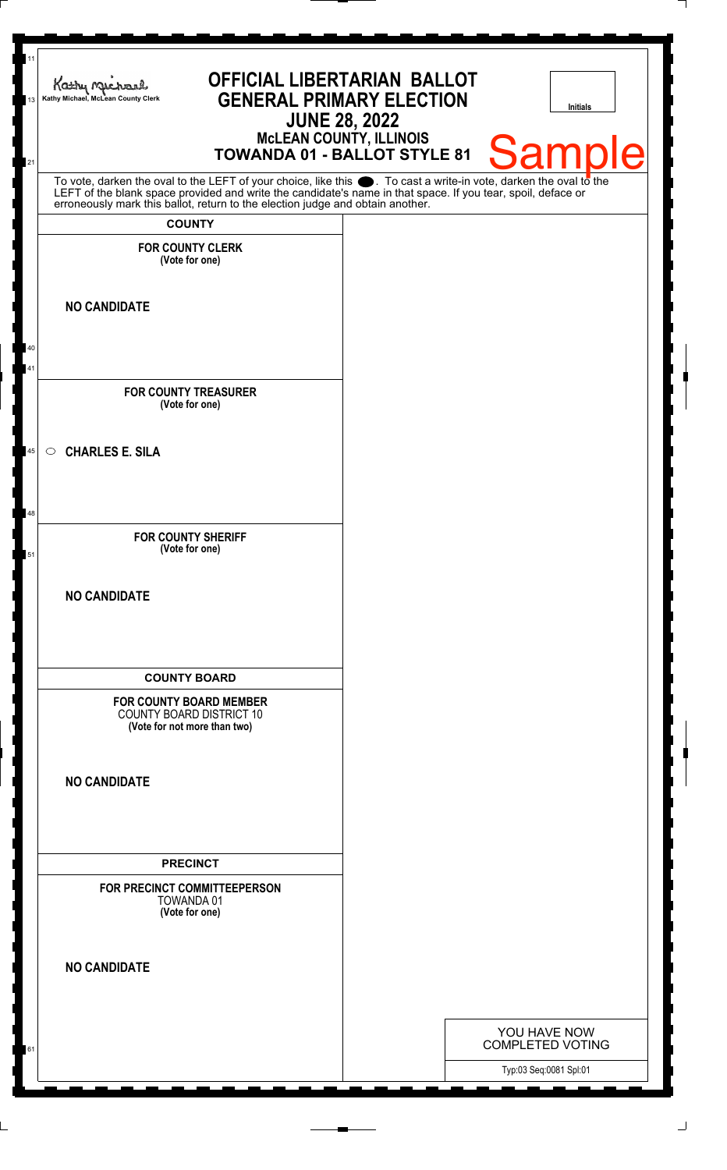| 11<br>13 | <b>OFFICIAL LIBERTARIAN BALLOT</b><br>Kathy Michael<br><b>GENERAL PRIMARY ELECTION</b><br>Kathy Michael, McLean County Clerk<br><b>JUNE 28, 2022</b><br><b>MCLEAN COUNTY, ILLINOIS</b>                                        | <b>Initials</b>         |
|----------|-------------------------------------------------------------------------------------------------------------------------------------------------------------------------------------------------------------------------------|-------------------------|
| 21       | <b>TOWANDA 01 - BALLOT STYLE 81</b>                                                                                                                                                                                           | <b>Sample</b>           |
|          | To vote, darken the oval to the LEFT of your choice, like this . To cast a write-in vote, darken the oval to the LEFT of the blank space provided and write the candidate's name in that space. If you tear, spoil, deface or |                         |
|          | <b>COUNTY</b>                                                                                                                                                                                                                 |                         |
|          | <b>FOR COUNTY CLERK</b><br>(Vote for one)                                                                                                                                                                                     |                         |
|          | <b>NO CANDIDATE</b>                                                                                                                                                                                                           |                         |
| 40       |                                                                                                                                                                                                                               |                         |
| 41       |                                                                                                                                                                                                                               |                         |
|          | <b>FOR COUNTY TREASURER</b><br>(Vote for one)                                                                                                                                                                                 |                         |
| 45       | <b>CHARLES E. SILA</b><br>$\circ$                                                                                                                                                                                             |                         |
|          |                                                                                                                                                                                                                               |                         |
| 48       |                                                                                                                                                                                                                               |                         |
|          | <b>FOR COUNTY SHERIFF</b>                                                                                                                                                                                                     |                         |
| 51       | (Vote for one)                                                                                                                                                                                                                |                         |
|          | <b>NO CANDIDATE</b>                                                                                                                                                                                                           |                         |
|          |                                                                                                                                                                                                                               |                         |
|          |                                                                                                                                                                                                                               |                         |
|          | <b>COUNTY BOARD</b>                                                                                                                                                                                                           |                         |
|          | <b>FOR COUNTY BOARD MEMBER</b><br><b>COUNTY BOARD DISTRICT 10</b><br>(Vote for not more than two)                                                                                                                             |                         |
|          |                                                                                                                                                                                                                               |                         |
|          | <b>NO CANDIDATE</b>                                                                                                                                                                                                           |                         |
|          |                                                                                                                                                                                                                               |                         |
|          |                                                                                                                                                                                                                               |                         |
|          | <b>PRECINCT</b><br>FOR PRECINCT COMMITTEEPERSON                                                                                                                                                                               |                         |
|          | TOWANDA 01<br>(Vote for one)                                                                                                                                                                                                  |                         |
|          |                                                                                                                                                                                                                               |                         |
|          | <b>NO CANDIDATE</b>                                                                                                                                                                                                           |                         |
|          |                                                                                                                                                                                                                               |                         |
|          |                                                                                                                                                                                                                               | YOU HAVE NOW            |
| 61       |                                                                                                                                                                                                                               | <b>COMPLETED VOTING</b> |
|          |                                                                                                                                                                                                                               | Typ:03 Seq:0081 Spl:01  |